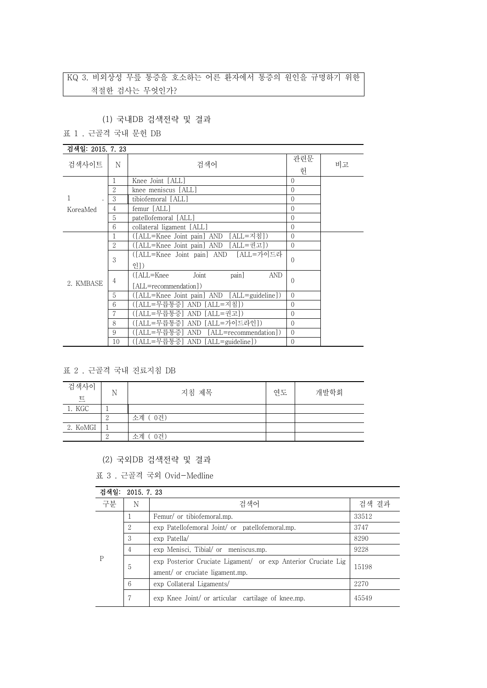# KQ 3. 비외상성 무릎 통증을 호소하는 어른 환자에서 통증의 원인을 규명하기 위한 적절한 검사는 무엇인가?

### (1) 국내DB 검색전략 및 결과

표 1 . 근골격 국내 문헌 DB

| 검색일: 2015, 7, 23 |                |                                                                      |                |    |
|------------------|----------------|----------------------------------------------------------------------|----------------|----|
| 검색사이트            | N              | 검색어                                                                  | 관련문<br>허       | 비고 |
|                  | 1              | Knee Joint [ALL]                                                     | $\Omega$       |    |
|                  | $\overline{2}$ | knee meniscus [ALL]                                                  | $\Omega$       |    |
|                  | 3              | tibiofemoral [ALL]                                                   | $\Omega$       |    |
| KoreaMed         | 4              | femur [ALL]                                                          | $\Omega$       |    |
|                  | 5              | patellofemoral [ALL]                                                 | $\overline{0}$ |    |
|                  | 6              | collateral ligament [ALL]                                            | $\theta$       |    |
|                  |                | ([ALL=Knee Joint pain] AND [ALL=지침])                                 | $\theta$       |    |
|                  | $\overline{2}$ | ([ALL=Knee Joint pain] AND [ALL=권고])                                 | $\Omega$       |    |
| 2. KMBASE        | 3              | ([ALL=Knee Joint pain] AND [ALL=가이드라<br>인])                          | $\Omega$       |    |
|                  | 4              | Joint<br>pain]<br><b>AND</b><br>([ALL=Knee]<br>[ALL=recommendation]) | $\Omega$       |    |
|                  | 5              | ([ALL=Knee Joint pain] AND [ALL=guideline])                          | $\Omega$       |    |
|                  | 6              | ([ALL=무릅통증] AND [ALL=지침])                                            | $\Omega$       |    |
|                  |                | ([ALL=무릅통증] AND [ALL=권고])                                            | $\Omega$       |    |
|                  | 8              | ([ALL=무릅통증] AND [ALL=가이드라인])                                         | $\overline{0}$ |    |
|                  | 9              | ([ALL=무릅통증] AND [ALL=recommendation])                                | $\Omega$       |    |
|                  | 10             | ([ALL=무릅통증] AND [ALL=guideline])                                     | 0              |    |

#### 표 2 . 근골격 국내 진료지침 DB

| 검색사이<br>트 | N | 지침 제목     | 연도 | 개발학회 |
|-----------|---|-----------|----|------|
| 1. KGC    |   |           |    |      |
|           |   | 소계 (0건)   |    |      |
| 2. KoMGI  |   |           |    |      |
|           |   | 소계<br>0건) |    |      |

### (2) 국외DB 검색전략 및 결과

표 3 . 근골격 국외 Ovid-Medline

| 검색일:<br>2015. 7. 23 |   |                                                                                                  |       |
|---------------------|---|--------------------------------------------------------------------------------------------------|-------|
| 구분                  | N | 검색어                                                                                              | 검색 결과 |
| P                   |   | Femur/ or tibiofemoral.mp.                                                                       | 33512 |
|                     | 2 | exp Patellofemoral Joint/ or patellofemoral.mp.                                                  | 3747  |
|                     | 3 | exp Patella/                                                                                     | 8290  |
|                     | 4 | exp Menisci, Tibial/ or meniscus.mp.                                                             | 9228  |
|                     | 5 | exp Posterior Cruciate Ligament/ or exp Anterior Cruciate Lig<br>ament/ or cruciate ligament.mp. | 15198 |
|                     | 6 | exp Collateral Ligaments/                                                                        | 2270  |
|                     |   | exp Knee Joint/ or articular cartilage of knee.mp.                                               | 45549 |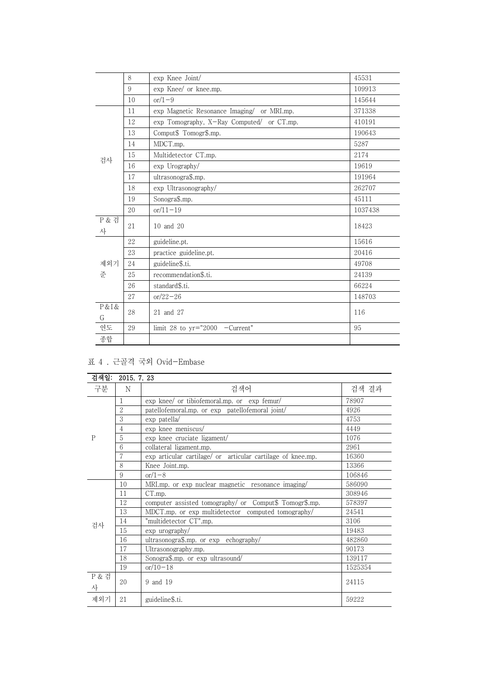|                       | 8  | exp Knee Joint/                            | 45531   |
|-----------------------|----|--------------------------------------------|---------|
|                       | 9  | exp Knee/ or knee.mp.                      | 109913  |
|                       | 10 | $or/1-9$                                   | 145644  |
|                       | 11 | exp Magnetic Resonance Imaging/ or MRI.mp. | 371338  |
|                       | 12 | exp Tomography, X-Ray Computed/ or CT.mp.  | 410191  |
|                       | 13 | Comput\$ Tomogr\$.mp.                      | 190643  |
|                       | 14 | MDCT.mp.                                   | 5287    |
| 검사                    | 15 | Multidetector CT.mp.                       | 2174    |
|                       | 16 | exp Urography/                             | 19619   |
|                       | 17 | ultrasonogra\$.mp.                         | 191964  |
|                       | 18 | exp Ultrasonography/                       | 262707  |
|                       | 19 | Sonogra\$.mp.                              | 45111   |
|                       | 20 | $or/11-19$                                 | 1037438 |
| <b>P &amp; 검</b><br>사 | 21 | $10$ and $20$                              | 18423   |
|                       | 22 | guideline.pt.                              | 15616   |
|                       | 23 | practice guideline.pt.                     | 20416   |
| 제외기                   | 24 | guideline\$.ti.                            | 49708   |
| 준                     | 25 | recommendation\$.ti.                       | 24139   |
|                       | 26 | standard\$.ti.                             | 66224   |
|                       | 27 | $or/22 - 26$                               | 148703  |
| P & I &<br>G          | 28 | 21 and 27                                  | 116     |
| 연도                    | 29 | limit 28 to $yr="2000 -Current"$           | 95      |
| 종합                    |    |                                            |         |

## 표 4 . 근골격 국외 Ovid-Embase

| 검색일:                  | 2015.7.23      |                                                             |         |
|-----------------------|----------------|-------------------------------------------------------------|---------|
| 구분                    | N              | 검색어                                                         | 검색 결과   |
|                       | 1              | exp knee/ or tibiofemoral.mp. or exp femur/                 | 78907   |
|                       | $\overline{2}$ | patellofemoral.mp. or exp patellofemoral joint/             | 4926    |
|                       | 3              | exp patella/                                                | 4753    |
|                       | $\overline{4}$ | exp knee meniscus/                                          | 4449    |
| $\mathsf{P}$          | 5              | exp knee cruciate ligament/                                 | 1076    |
|                       | 6              | collateral ligament.mp.                                     | 2961    |
|                       | 7              | exp articular cartilage/ or articular cartilage of knee.mp. | 16360   |
|                       | 8              | Knee Joint.mp.                                              | 13366   |
|                       | 9              | $or/1-8$                                                    | 106846  |
|                       | 10             | MRI.mp. or exp nuclear magnetic resonance imaging/          | 586090  |
|                       | 11             | CT.mp.                                                      | 308946  |
|                       | 12             | computer assisted tomography/ or Comput\$ Tomogr\$.mp.      | 578397  |
|                       | 13             | MDCT.mp. or exp multidetector computed tomography/          | 24541   |
| 검사                    | 14             | "multidetector CT".mp.                                      | 3106    |
|                       | 15             | exp urography/                                              | 19483   |
|                       | 16             | ultrasonogra\$.mp. or exp echography/                       | 482860  |
|                       | 17             | Ultrasonography.mp.                                         | 90173   |
|                       | 18             | Sonogra\$.mp. or exp ultrasound/                            | 139117  |
|                       | 19             | $or/10-18$                                                  | 1525354 |
| <b>P &amp; 검</b><br>사 | 20             | 9 and 19                                                    | 24115   |
| 제외기                   | 21             | guideline\$.ti.                                             | 59222   |